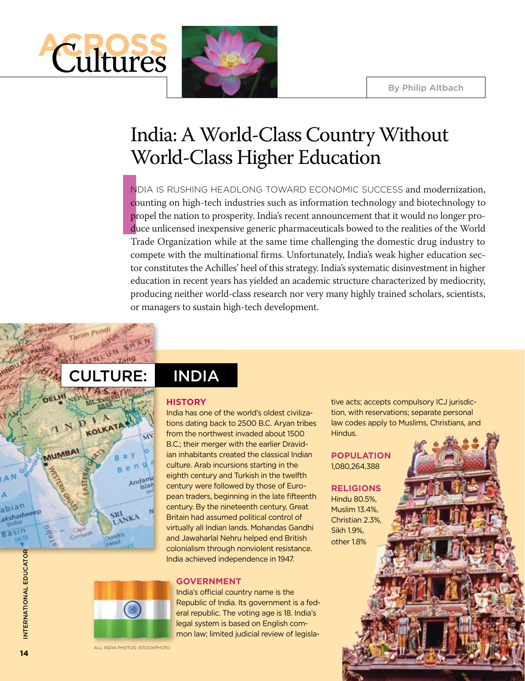

# India: A World-Class Country Without World-Class Higher Education

**I** ndia is rushing headlong toward economic success and modernization, counting on high-tech industries such as information technology and biotechnology to propel the nation to prosperity. India's recent announcement that it would no longer produce unlicensed inexpensive generic pharmaceuticals bowed to the realities of the World Trade Organization while at the same time challenging the domestic drug industry to compete with the multinational firms. Unfortunately, India's weak higher education sector constitutes the Achilles' heel of this strategy. India's systematic disinvestment in higher education in recent years has yielded an academic structure characterized by mediocrity, producing neither world-class research nor very many highly trained scholars, scientists, or managers to sustain high-tech development.



**Across** Cultures

# RE: INDIA

# **History**

India has one of the world's oldest civilizations dating back to 2500 B.C. Aryan tribes from the northwest invaded about 1500 B.C.; their merger with the earlier Dravidian inhabitants created the classical Indian culture. Arab incursions starting in the eighth century and Turkish in the twelfth century were followed by those of European traders, beginning in the late fifteenth century. By the nineteenth century, Great Britain had assumed political control of virtually all Indian lands. Mohandas Gandhi and Jawaharlal Nehru helped end British colonialism through nonviolent resistance. India achieved independence in 1947.

# **Government**

India's official country name is the Republic of India. Its government is a federal republic. The voting age is 18. India's legal system is based on English common law; limited judicial review of legislative acts; accepts compulsory ICJ jurisdiction, with reservations; separate personal law codes apply to Muslims, Christians, and Hindus.

**Population** 1,080,264,388

**Religions** Hindu 80.5%, Muslim 13.4%,

Christian 2.3%, Sikh 1.9%, other 1.8%

# **14**Intern Mo<br>Ek al Educ ator



**ALL INDIA PHOTOS: ISTOCKPHOTO**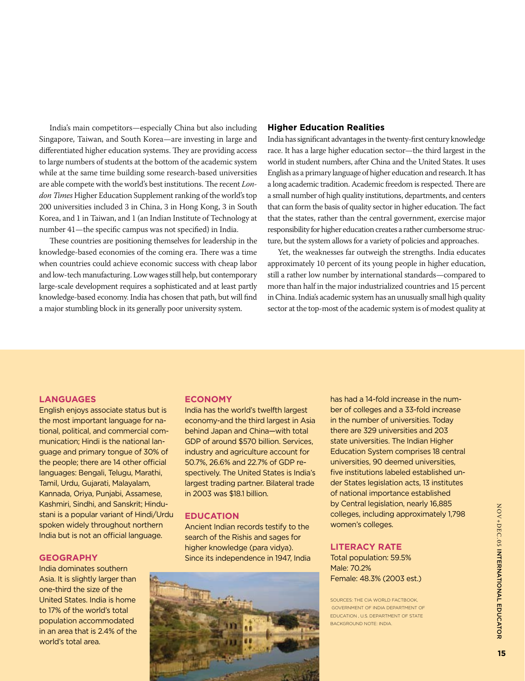India's main competitors—especially China but also including Singapore, Taiwan, and South Korea—are investing in large and differentiated higher education systems. They are providing access to large numbers of students at the bottom of the academic system while at the same time building some research-based universities are able compete with the world's best institutions. The recent *London Times* Higher Education Supplement ranking of the world's top 200 universities included 3 in China, 3 in Hong Kong, 3 in South Korea, and 1 in Taiwan, and 1 (an Indian Institute of Technology at number 41—the specific campus was not specified) in India.

These countries are positioning themselves for leadership in the knowledge-based economies of the coming era. There was a time when countries could achieve economic success with cheap labor and low-tech manufacturing. Low wages still help, but contemporary large-scale development requires a sophisticated and at least partly knowledge-based economy. India has chosen that path, but will find a major stumbling block in its generally poor university system.

#### **Higher Education Realities**

India has significant advantages in the twenty-first century knowledge race. It has a large higher education sector—the third largest in the world in student numbers, after China and the United States. It uses English as a primary language of higher education and research. It has a long academic tradition. Academic freedom is respected. There are a small number of high quality institutions, departments, and centers that can form the basis of quality sector in higher education. The fact that the states, rather than the central government, exercise major responsibility for higher education creates a rather cumbersome structure, but the system allows for a variety of policies and approaches.

Yet, the weaknesses far outweigh the strengths. India educates approximately 10 percent of its young people in higher education, still a rather low number by international standards—compared to more than half in the major industrialized countries and 15 percent in China. India's academic system has an unusually small high quality sector at the top-most of the academic system is of modest quality at

#### **Languages**

English enjoys associate status but is the most important language for national, political, and commercial communication; Hindi is the national language and primary tongue of 30% of the people; there are 14 other official languages: Bengali, Telugu, Marathi, Tamil, Urdu, Gujarati, Malayalam, Kannada, Oriya, Punjabi, Assamese, Kashmiri, Sindhi, and Sanskrit; Hindustani is a popular variant of Hindi/Urdu spoken widely throughout northern India but is not an official language.

#### **Geography**

India dominates southern Asia. It is slightly larger than one-third the size of the United States. India is home to 17% of the world's total population accommodated in an area that is 2.4% of the world's total area.

#### **Economy**

India has the world's twelfth largest economy-and the third largest in Asia behind Japan and China—with total GDP of around \$570 billion. Services, industry and agriculture account for 50.7%, 26.6% and 22.7% of GDP respectively. The United States is India's largest trading partner. Bilateral trade in 2003 was \$18.1 billion.

#### **Education**

Ancient Indian records testify to the search of the Rishis and sages for higher knowledge (para vidya). Since its independence in 1947, India



has had a 14-fold increase in the number of colleges and a 33-fold increase in the number of universities. Today there are 329 universities and 203 state universities. The Indian Higher Education System comprises 18 central universities, 90 deemed universities, five institutions labeled established under States legislation acts, 13 institutes of national importance established by Central legislation, nearly 16,885 colleges, including approximately 1,798 women's colleges.

#### **Literacy Rate**

Total population: 59.5% Male: 70.2% Female: 48.3% (2003 est.)

SOURCES: THE CIA WORLD FACTBOOK, Government of India Department of Education , U.S. Department of State Background Note: India.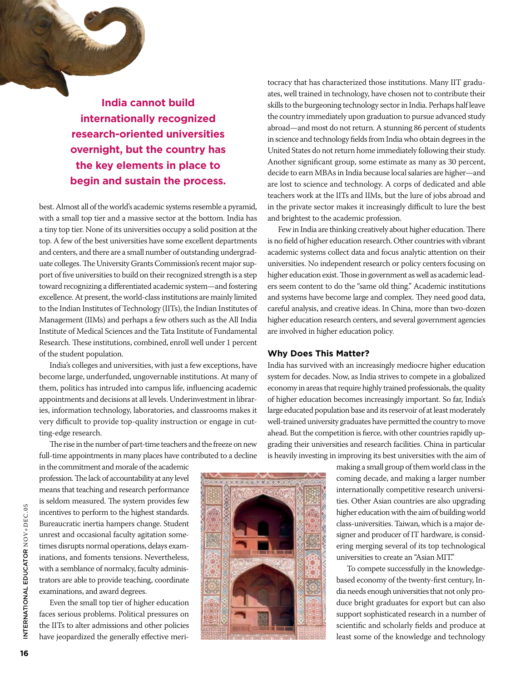**India cannot build internationally recognized research-oriented universities overnight, but the country has the key elements in place to begin and sustain the process.**

best. Almost all of the world's academic systems resemble a pyramid, with a small top tier and a massive sector at the bottom. India has a tiny top tier. None of its universities occupy a solid position at the top. A few of the best universities have some excellent departments and centers, and there are a small number of outstanding undergraduate colleges. The University Grants Commission's recent major support of five universities to build on their recognized strength is a step toward recognizing a differentiated academic system—and fostering excellence. At present, the world-class institutions are mainly limited to the Indian Institutes of Technology (IITs), the Indian Institutes of Management (IIMs) and perhaps a few others such as the All India Institute of Medical Sciences and the Tata Institute of Fundamental Research. These institutions, combined, enroll well under 1 percent of the student population.

India's colleges and universities, with just a few exceptions, have become large, underfunded, ungovernable institutions. At many of them, politics has intruded into campus life, influencing academic appointments and decisions at all levels. Underinvestment in libraries, information technology, laboratories, and classrooms makes it very difficult to provide top-quality instruction or engage in cutting-edge research.

The rise in the number of part-time teachers and the freeze on new full-time appointments in many places have contributed to a decline

in the commitment and morale of the academic profession. The lack of accountability at any level means that teaching and research performance is seldom measured. The system provides few incentives to perform to the highest standards. Bureaucratic inertia hampers change. Student unrest and occasional faculty agitation sometimes disrupts normal operations, delays examinations, and foments tensions. Nevertheless, with a semblance of normalcy, faculty administrators are able to provide teaching, coordinate examinations, and award degrees.

Even the small top tier of higher education faces serious problems. Political pressures on the IITs to alter admissions and other policies have jeopardized the generally effective meritocracy that has characterized those institutions. Many IIT graduates, well trained in technology, have chosen not to contribute their skills to the burgeoning technology sector in India. Perhaps half leave the country immediately upon graduation to pursue advanced study abroad—and most do not return. A stunning 86 percent of students in science and technology fields from India who obtain degrees in the United States do not return home immediately following their study. Another significant group, some estimate as many as 30 percent, decide to earn MBAs in India because local salaries are higher—and are lost to science and technology. A corps of dedicated and able teachers work at the IITs and IIMs, but the lure of jobs abroad and in the private sector makes it increasingly difficult to lure the best and brightest to the academic profession.

Few in India are thinking creatively about higher education. There is no field of higher education research. Other countries with vibrant academic systems collect data and focus analytic attention on their universities. No independent research or policy centers focusing on higher education exist. Those in government as well as academic leaders seem content to do the "same old thing." Academic institutions and systems have become large and complex. They need good data, careful analysis, and creative ideas. In China, more than two-dozen higher education research centers, and several government agencies are involved in higher education policy.

#### **Why Does This Matter?**

India has survived with an increasingly mediocre higher education system for decades. Now, as India strives to compete in a globalized economy in areas that require highly trained professionals, the quality of higher education becomes increasingly important. So far, India's large educated population base and its reservoir of at least moderately well-trained university graduates have permitted the country to move ahead. But the competition is fierce, with other countries rapidly upgrading their universities and research facilities. China in particular is heavily investing in improving its best universities with the aim of

> making a small group of them world class in the coming decade, and making a larger number internationally competitive research universities. Other Asian countries are also upgrading higher education with the aim of building world class-universities. Taiwan, which is a major designer and producer of IT hardware, is considering merging several of its top technological universities to create an "Asian MIT."

> To compete successfully in the knowledgebased economy of the twenty-first century, India needs enough universities that not only produce bright graduates for export but can also support sophisticated research in a number of scientific and scholarly fields and produce at least some of the knowledge and technology

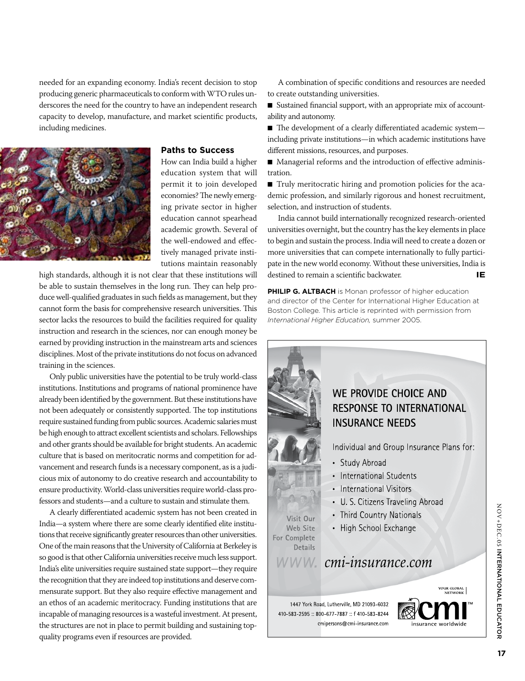needed for an expanding economy. India's recent decision to stop producing generic pharmaceuticals to conform with WTO rules underscores the need for the country to have an independent research capacity to develop, manufacture, and market scientific products, including medicines.



#### **Paths to Success**

How can India build a higher education system that will permit it to join developed economies? The newly emerging private sector in higher education cannot spearhead academic growth. Several of the well-endowed and effectively managed private institutions maintain reasonably

high standards, although it is not clear that these institutions will be able to sustain themselves in the long run. They can help produce well-qualified graduates in such fields as management, but they cannot form the basis for comprehensive research universities. This sector lacks the resources to build the facilities required for quality instruction and research in the sciences, nor can enough money be earned by providing instruction in the mainstream arts and sciences disciplines. Most of the private institutions do not focus on advanced training in the sciences.

Only public universities have the potential to be truly world-class institutions. Institutions and programs of national prominence have already been identified by the government. But these institutions have not been adequately or consistently supported. The top institutions require sustained funding from public sources. Academic salaries must be high enough to attract excellent scientists and scholars. Fellowships and other grants should be available for bright students. An academic culture that is based on meritocratic norms and competition for advancement and research funds is a necessary component, as is a judicious mix of autonomy to do creative research and accountability to ensure productivity. World-class universities require world-class professors and students—and a culture to sustain and stimulate them.

A clearly differentiated academic system has not been created in India—a system where there are some clearly identified elite institutions that receive significantly greater resources than other universities. One of the main reasons that the University of California at Berkeley is so good is that other California universities receive much less support. India's elite universities require sustained state support—they require the recognition that they are indeed top institutions and deserve commensurate support. But they also require effective management and an ethos of an academic meritocracy. Funding institutions that are incapable of managing resources is a wasteful investment. At present, the structures are not in place to permit building and sustaining topquality programs even if resources are provided.

A combination of specific conditions and resources are needed to create outstanding universities.

■ Sustained financial support, with an appropriate mix of accountability and autonomy.

■ The development of a clearly differentiated academic systemincluding private institutions—in which academic institutions have different missions, resources, and purposes.

■ Managerial reforms and the introduction of effective administration.

■ Truly meritocratic hiring and promotion policies for the academic profession, and similarly rigorous and honest recruitment, selection, and instruction of students.

India cannot build internationally recognized research-oriented universities overnight, but the country has the key elements in place to begin and sustain the process. India will need to create a dozen or more universities that can compete internationally to fully participate in the new world economy. Without these universities, India is destined to remain a scientific backwater. **IE**

**PHILIP G. ALTBACH** is Monan professor of higher education and director of the Center for International Higher Education at Boston College. This article is reprinted with permission from *International Higher Education,* summer 2005.



N